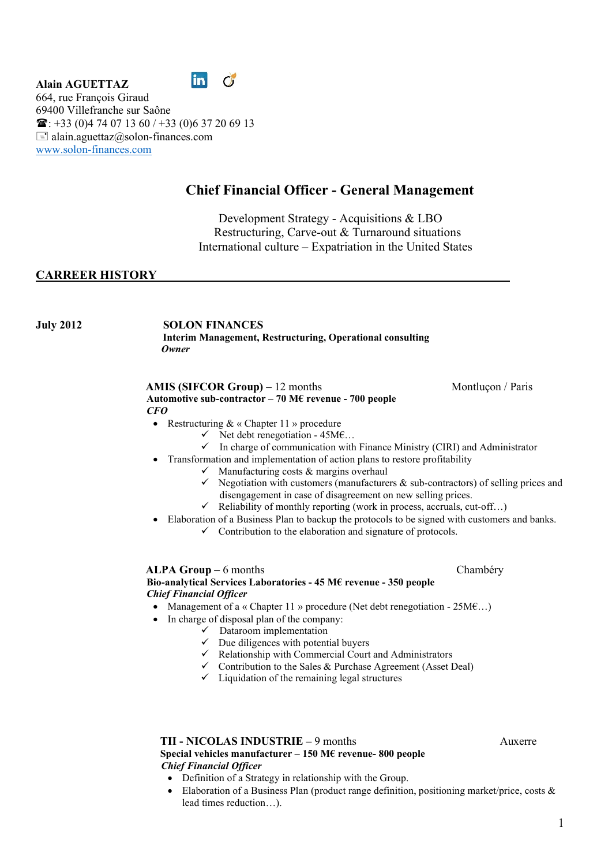



664, rue François Giraud 69400 Villefranche sur Saône  $\mathbf{\widehat{m}}$ : +33 (0)4 74 07 13 60 / +33 (0)6 37 20 69 13  $\equiv$  alain.aguettaz@solon-finances.com www.solon-finances.com

# Chief Financial Officer - General Management

Development Strategy - Acquisitions & LBO Restructuring, Carve-out & Turnaround situations International culture – Expatriation in the United States

# CARREER HISTORY

July 2012 SOLON FINANCES Interim Management, Restructuring, Operational consulting **Owner** 

# AMIS (SIFCOR Group) – 12 months Montluçon / Paris Automotive sub-contractor – 70 M€ revenue - 700 people

#### CFO

- Restructuring  $& \& \&$  Chapter 11 » procedure
	- $\checkmark$  Net debt renegotiation 45M $\epsilon$ ...
	- $\checkmark$  In charge of communication with Finance Ministry (CIRI) and Administrator
- Transformation and implementation of action plans to restore profitability
	- $\checkmark$  Manufacturing costs & margins overhaul
	- $\checkmark$  Negotiation with customers (manufacturers & sub-contractors) of selling prices and disengagement in case of disagreement on new selling prices.
	- $\checkmark$  Reliability of monthly reporting (work in process, accruals, cut-off...)
	- Elaboration of a Business Plan to backup the protocols to be signed with customers and banks.  $\checkmark$  Contribution to the elaboration and signature of protocols.

ALPA Group – 6 months Chambéry

# Bio-analytical Services Laboratories - 45 M€ revenue - 350 people Chief Financial Officer

- Management of a « Chapter 11 » procedure (Net debt renegotiation  $25M\epsilon$ ...)
- In charge of disposal plan of the company:
	- $\checkmark$  Dataroom implementation
	- $\checkmark$  Due diligences with potential buyers
	- $\checkmark$  Relationship with Commercial Court and Administrators
	- $\checkmark$  Contribution to the Sales & Purchase Agreement (Asset Deal)
	- $\checkmark$  Liquidation of the remaining legal structures

 TII - NICOLAS INDUSTRIE – 9 months Auxerre Special vehicles manufacturer – 150 M $\epsilon$  revenue- 800 people Chief Financial Officer

- Definition of a Strategy in relationship with the Group.
- Elaboration of a Business Plan (product range definition, positioning market/price, costs  $\&$ lead times reduction…).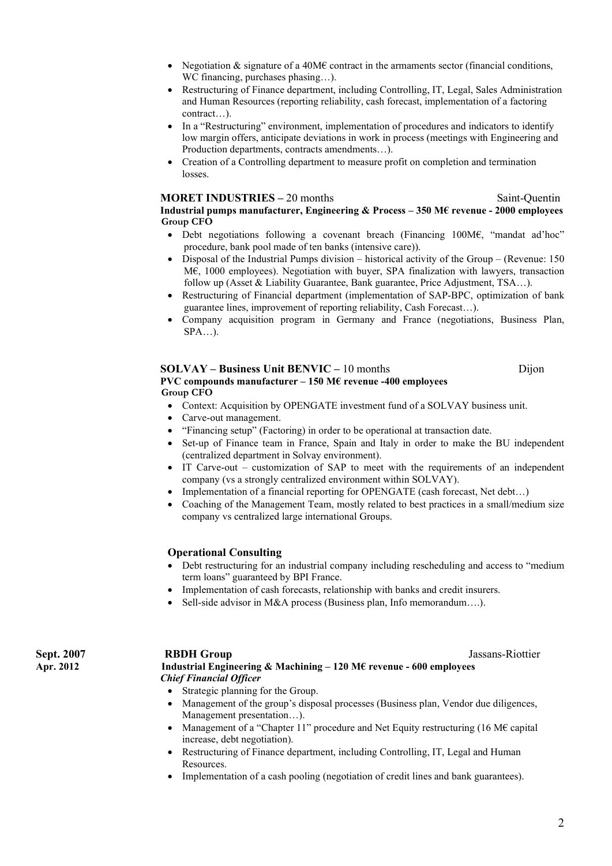- Negotiation & signature of a 40M $\epsilon$  contract in the armaments sector (financial conditions, WC financing, purchases phasing…).
- Restructuring of Finance department, including Controlling, IT, Legal, Sales Administration and Human Resources (reporting reliability, cash forecast, implementation of a factoring contract…).
- In a "Restructuring" environment, implementation of procedures and indicators to identify low margin offers, anticipate deviations in work in process (meetings with Engineering and Production departments, contracts amendments…).
- Creation of a Controlling department to measure profit on completion and termination losses.

# MORET INDUSTRIES – 20 months Saint-Quentin

Industrial pumps manufacturer, Engineering & Process – 350 M€ revenue - 2000 employees

- Group CFO Debt negotiations following a covenant breach (Financing 100M€, "mandat ad'hoc" procedure, bank pool made of ten banks (intensive care)).
- $\bullet$  Disposal of the Industrial Pumps division historical activity of the Group (Revenue: 150) M€, 1000 employees). Negotiation with buyer, SPA finalization with lawyers, transaction follow up (Asset & Liability Guarantee, Bank guarantee, Price Adjustment, TSA…).
- Restructuring of Financial department (implementation of SAP-BPC, optimization of bank guarantee lines, improvement of reporting reliability, Cash Forecast…).
- Company acquisition program in Germany and France (negotiations, Business Plan,  $SPA$ ...).

#### SOLVAY – Business Unit BENVIC – 10 months Dijon PVC compounds manufacturer – 150 M€ revenue -400 employees Group CFO

- Context: Acquisition by OPENGATE investment fund of a SOLVAY business unit.
- Carve-out management.
- "Financing setup" (Factoring) in order to be operational at transaction date.
- Set-up of Finance team in France, Spain and Italy in order to make the BU independent (centralized department in Solvay environment).
- IT Carve-out customization of SAP to meet with the requirements of an independent company (vs a strongly centralized environment within SOLVAY).
- Implementation of a financial reporting for OPENGATE (cash forecast, Net debt…)
- Coaching of the Management Team, mostly related to best practices in a small/medium size company vs centralized large international Groups.

### Operational Consulting

- Debt restructuring for an industrial company including rescheduling and access to "medium term loans" guaranteed by BPI France.
- Implementation of cash forecasts, relationship with banks and credit insurers.
- Sell-side advisor in M&A process (Business plan, Info memorandum….).

# Sept. 2007 **RBDH Group Community Accounts** Assams-Riottier

Apr. 2012 Industrial Engineering & Machining – 120 M€ revenue - 600 employees Chief Financial Officer

- Strategic planning for the Group.
- Management of the group's disposal processes (Business plan, Vendor due diligences, Management presentation…).
- Management of a "Chapter 11" procedure and Net Equity restructuring (16 M $\epsilon$  capital increase, debt negotiation).
- Restructuring of Finance department, including Controlling, IT, Legal and Human Resources.
- Implementation of a cash pooling (negotiation of credit lines and bank guarantees).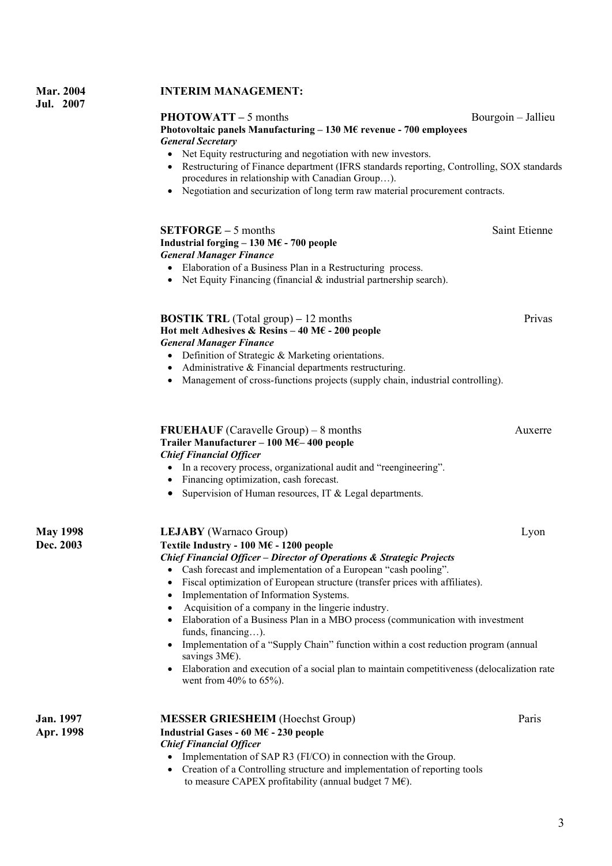# Mar. 2004 INTERIM MANAGEMENT:

# PHOTOWATT – 5 months Bourgoin – Jallieu

## Photovoltaic panels Manufacturing – 130 M€ revenue - 700 employees General Secretary

- Net Equity restructuring and negotiation with new investors.
- Restructuring of Finance department (IFRS standards reporting, Controlling, SOX standards procedures in relationship with Canadian Group…).
- Negotiation and securization of long term raw material procurement contracts.

- Elaboration of a Business Plan in a Restructuring process.
- Net Equity Financing (financial & industrial partnership search).

# General Manager Finance

- Definition of Strategic & Marketing orientations.
- Administrative & Financial departments restructuring.
- Management of cross-functions projects (supply chain, industrial controlling).

#### FRUEHAUF (Caravelle Group) – 8 months Auxerre Trailer Manufacturer – 100 M€– 400 people Chief Financial Officer

- In a recovery process, organizational audit and "reengineering".
- Financing optimization, cash forecast.
- Supervision of Human resources, IT  $&$  Legal departments.

| <b>May 1998</b> | <b>LEJABY</b> (Warnaco Group)                                                                                                                                                                                                                                                                                                                                                                                                                                                                                                                                                                                                                                                                      | Lyon |  |                  |                                                                           |       |
|-----------------|----------------------------------------------------------------------------------------------------------------------------------------------------------------------------------------------------------------------------------------------------------------------------------------------------------------------------------------------------------------------------------------------------------------------------------------------------------------------------------------------------------------------------------------------------------------------------------------------------------------------------------------------------------------------------------------------------|------|--|------------------|---------------------------------------------------------------------------|-------|
| Dec. 2003       | Textile Industry - 100 M $\epsilon$ - 1200 people                                                                                                                                                                                                                                                                                                                                                                                                                                                                                                                                                                                                                                                  |      |  |                  |                                                                           |       |
|                 | <b>Chief Financial Officer - Director of Operations &amp; Strategic Projects</b><br>• Cash forecast and implementation of a European "cash pooling".<br>Fiscal optimization of European structure (transfer prices with affiliates).<br>• Implementation of Information Systems.<br>Acquisition of a company in the lingerie industry.<br>Elaboration of a Business Plan in a MBO process (communication with investment<br>funds, financing).<br>• Implementation of a "Supply Chain" function within a cost reduction program (annual<br>savings $3M\epsilon$ ).<br>Elaboration and execution of a social plan to maintain competitiveness (delocalization rate<br>went from $40\%$ to $65\%$ ). |      |  |                  |                                                                           |       |
|                 |                                                                                                                                                                                                                                                                                                                                                                                                                                                                                                                                                                                                                                                                                                    |      |  | <b>Jan.</b> 1997 | <b>MESSER GRIESHEIM</b> (Hoechst Group)                                   | Paris |
|                 |                                                                                                                                                                                                                                                                                                                                                                                                                                                                                                                                                                                                                                                                                                    |      |  | Apr. 1998        | Industrial Gases - 60 M $\epsilon$ - 230 people                           |       |
|                 |                                                                                                                                                                                                                                                                                                                                                                                                                                                                                                                                                                                                                                                                                                    |      |  |                  | <b>Chief Financial Officer</b>                                            |       |
|                 |                                                                                                                                                                                                                                                                                                                                                                                                                                                                                                                                                                                                                                                                                                    |      |  |                  | • Implementation of SAP R3 (FI/CO) in connection with the Group.          |       |
|                 |                                                                                                                                                                                                                                                                                                                                                                                                                                                                                                                                                                                                                                                                                                    |      |  |                  | Creation of a Controlling structure and implementation of reporting tools |       |
|                 |                                                                                                                                                                                                                                                                                                                                                                                                                                                                                                                                                                                                                                                                                                    |      |  |                  | to measure CAPEX profitability (annual budget 7 M $\epsilon$ ).           |       |

 SETFORGE – 5 months Saint Etienne Industrial forging – 130 M $\epsilon$  - 700 people General Manager Finance BOSTIK TRL (Total group) – 12 months Privas Hot melt Adhesives & Resins – 40 M $\epsilon$  - 200 people

Jul. 2007